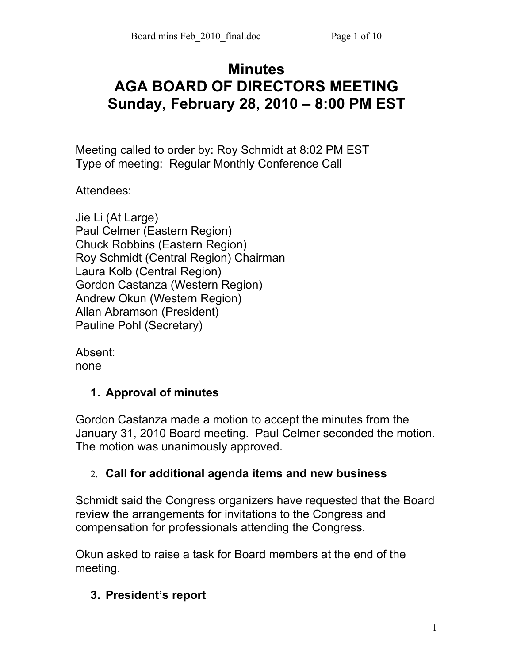# **Minutes AGA BOARD OF DIRECTORS MEETING Sunday, February 28, 2010 – 8:00 PM EST**

Meeting called to order by: Roy Schmidt at 8:02 PM EST Type of meeting: Regular Monthly Conference Call

Attendees:

| Jie Li (At Large)                     |
|---------------------------------------|
| Paul Celmer (Eastern Region)          |
| <b>Chuck Robbins (Eastern Region)</b> |
| Roy Schmidt (Central Region) Chairman |
| Laura Kolb (Central Region)           |
| Gordon Castanza (Western Region)      |
| Andrew Okun (Western Region)          |
| Allan Abramson (President)            |
| Pauline Pohl (Secretary)              |
|                                       |

Absent: none

## **1. Approval of minutes**

Gordon Castanza made a motion to accept the minutes from the January 31, 2010 Board meeting. Paul Celmer seconded the motion. The motion was unanimously approved.

## 2. **Call for additional agenda items and new business**

Schmidt said the Congress organizers have requested that the Board review the arrangements for invitations to the Congress and compensation for professionals attending the Congress.

Okun asked to raise a task for Board members at the end of the meeting.

## **3. President's report**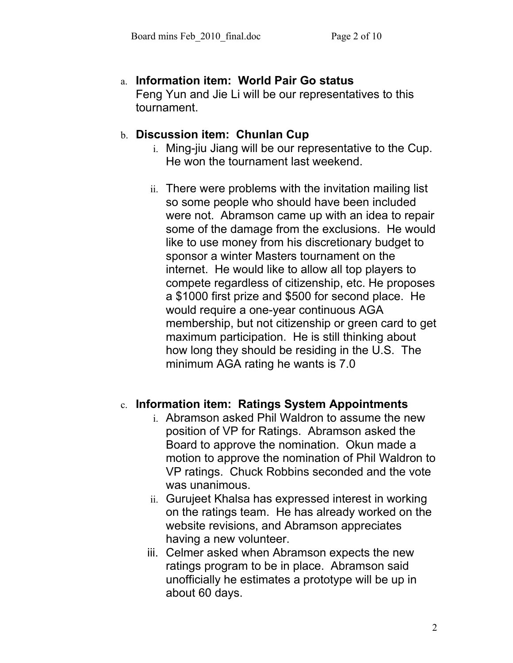#### a. **Information item: World Pair Go status** Feng Yun and Jie Li will be our representatives to this tournament.

#### b. **Discussion item: Chunlan Cup**

- i. Ming-jiu Jiang will be our representative to the Cup. He won the tournament last weekend.
- ii. There were problems with the invitation mailing list so some people who should have been included were not. Abramson came up with an idea to repair some of the damage from the exclusions. He would like to use money from his discretionary budget to sponsor a winter Masters tournament on the internet. He would like to allow all top players to compete regardless of citizenship, etc. He proposes a \$1000 first prize and \$500 for second place. He would require a one-year continuous AGA membership, but not citizenship or green card to get maximum participation. He is still thinking about how long they should be residing in the U.S. The minimum AGA rating he wants is 7.0

#### c. **Information item: Ratings System Appointments**

- i. Abramson asked Phil Waldron to assume the new position of VP for Ratings. Abramson asked the Board to approve the nomination. Okun made a motion to approve the nomination of Phil Waldron to VP ratings. Chuck Robbins seconded and the vote was unanimous.
- ii. Gurujeet Khalsa has expressed interest in working on the ratings team. He has already worked on the website revisions, and Abramson appreciates having a new volunteer.
- iii. Celmer asked when Abramson expects the new ratings program to be in place. Abramson said unofficially he estimates a prototype will be up in about 60 days.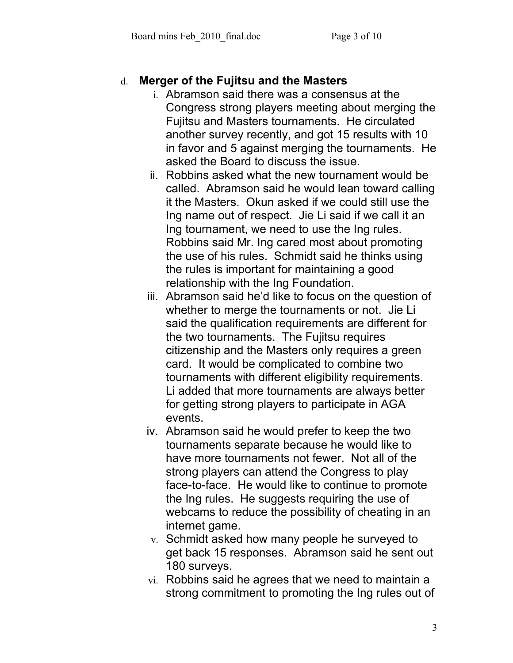#### d. **Merger of the Fujitsu and the Masters**

- i. Abramson said there was a consensus at the Congress strong players meeting about merging the Fujitsu and Masters tournaments. He circulated another survey recently, and got 15 results with 10 in favor and 5 against merging the tournaments. He asked the Board to discuss the issue.
- ii. Robbins asked what the new tournament would be called. Abramson said he would lean toward calling it the Masters. Okun asked if we could still use the Ing name out of respect. Jie Li said if we call it an Ing tournament, we need to use the Ing rules. Robbins said Mr. Ing cared most about promoting the use of his rules. Schmidt said he thinks using the rules is important for maintaining a good relationship with the Ing Foundation.
- iii. Abramson said he'd like to focus on the question of whether to merge the tournaments or not. Jie Li said the qualification requirements are different for the two tournaments. The Fujitsu requires citizenship and the Masters only requires a green card. It would be complicated to combine two tournaments with different eligibility requirements. Li added that more tournaments are always better for getting strong players to participate in AGA events.
- iv. Abramson said he would prefer to keep the two tournaments separate because he would like to have more tournaments not fewer. Not all of the strong players can attend the Congress to play face-to-face. He would like to continue to promote the Ing rules. He suggests requiring the use of webcams to reduce the possibility of cheating in an internet game.
- v. Schmidt asked how many people he surveyed to get back 15 responses. Abramson said he sent out 180 surveys.
- vi. Robbins said he agrees that we need to maintain a strong commitment to promoting the Ing rules out of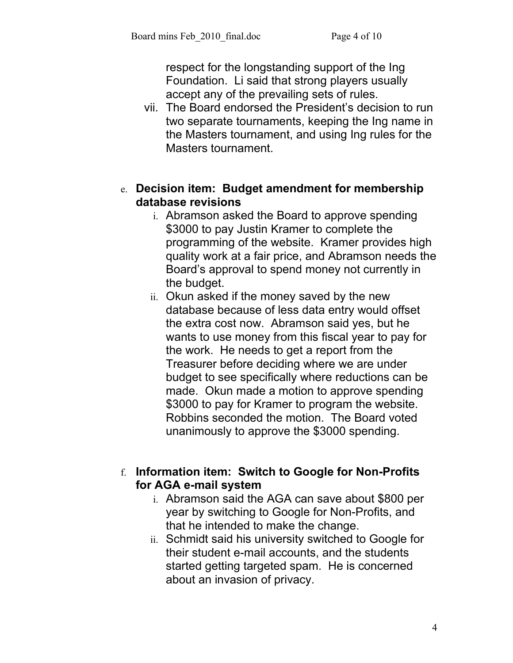respect for the longstanding support of the Ing Foundation. Li said that strong players usually accept any of the prevailing sets of rules.

vii. The Board endorsed the President's decision to run two separate tournaments, keeping the Ing name in the Masters tournament, and using Ing rules for the Masters tournament.

#### e. **Decision item: Budget amendment for membership database revisions**

- i. Abramson asked the Board to approve spending \$3000 to pay Justin Kramer to complete the programming of the website. Kramer provides high quality work at a fair price, and Abramson needs the Board's approval to spend money not currently in the budget.
- ii. Okun asked if the money saved by the new database because of less data entry would offset the extra cost now. Abramson said yes, but he wants to use money from this fiscal year to pay for the work. He needs to get a report from the Treasurer before deciding where we are under budget to see specifically where reductions can be made. Okun made a motion to approve spending \$3000 to pay for Kramer to program the website. Robbins seconded the motion. The Board voted unanimously to approve the \$3000 spending.

#### f. **Information item: Switch to Google for Non-Profits for AGA e-mail system**

- i. Abramson said the AGA can save about \$800 per year by switching to Google for Non-Profits, and that he intended to make the change.
- ii. Schmidt said his university switched to Google for their student e-mail accounts, and the students started getting targeted spam. He is concerned about an invasion of privacy.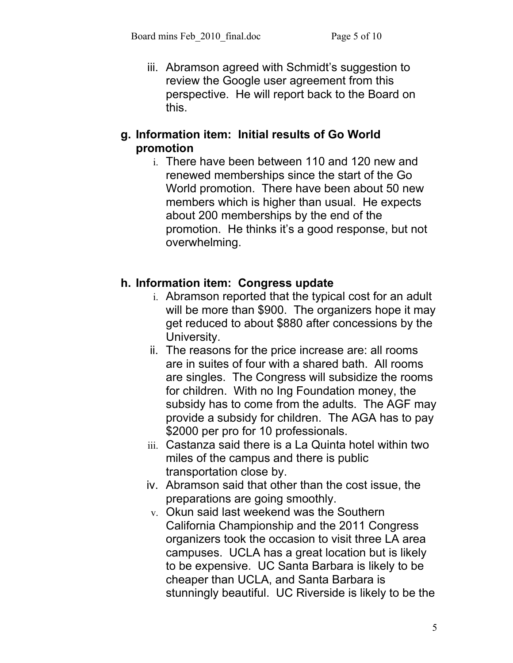iii. Abramson agreed with Schmidt's suggestion to review the Google user agreement from this perspective. He will report back to the Board on this.

#### **g. Information item: Initial results of Go World promotion**

i. There have been between 110 and 120 new and renewed memberships since the start of the Go World promotion. There have been about 50 new members which is higher than usual. He expects about 200 memberships by the end of the promotion. He thinks it's a good response, but not overwhelming.

## **h. Information item: Congress update**

- i. Abramson reported that the typical cost for an adult will be more than \$900. The organizers hope it may get reduced to about \$880 after concessions by the University.
- ii. The reasons for the price increase are: all rooms are in suites of four with a shared bath. All rooms are singles. The Congress will subsidize the rooms for children. With no Ing Foundation money, the subsidy has to come from the adults. The AGF may provide a subsidy for children. The AGA has to pay \$2000 per pro for 10 professionals.
- iii. Castanza said there is a La Quinta hotel within two miles of the campus and there is public transportation close by.
- iv. Abramson said that other than the cost issue, the preparations are going smoothly.
- v. Okun said last weekend was the Southern California Championship and the 2011 Congress organizers took the occasion to visit three LA area campuses. UCLA has a great location but is likely to be expensive. UC Santa Barbara is likely to be cheaper than UCLA, and Santa Barbara is stunningly beautiful. UC Riverside is likely to be the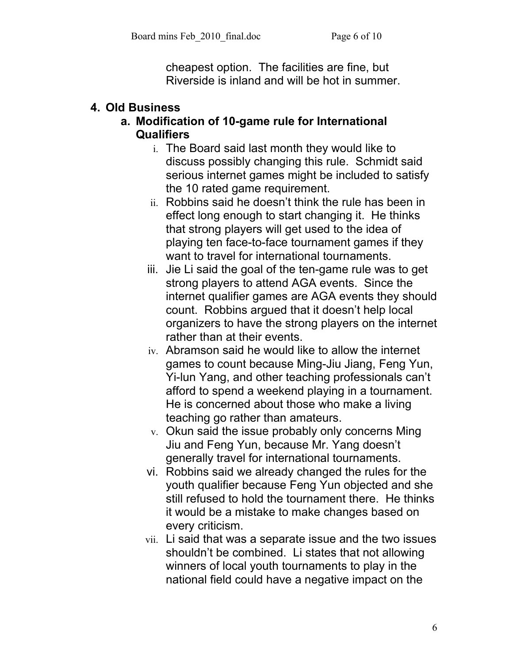cheapest option. The facilities are fine, but Riverside is inland and will be hot in summer.

## **4. Old Business**

#### **a. Modification of 10-game rule for International Qualifiers**

- i. The Board said last month they would like to discuss possibly changing this rule. Schmidt said serious internet games might be included to satisfy the 10 rated game requirement.
- ii. Robbins said he doesn't think the rule has been in effect long enough to start changing it. He thinks that strong players will get used to the idea of playing ten face-to-face tournament games if they want to travel for international tournaments.
- iii. Jie Li said the goal of the ten-game rule was to get strong players to attend AGA events. Since the internet qualifier games are AGA events they should count. Robbins argued that it doesn't help local organizers to have the strong players on the internet rather than at their events.
- iv. Abramson said he would like to allow the internet games to count because Ming-Jiu Jiang, Feng Yun, Yi-lun Yang, and other teaching professionals can't afford to spend a weekend playing in a tournament. He is concerned about those who make a living teaching go rather than amateurs.
- v. Okun said the issue probably only concerns Ming Jiu and Feng Yun, because Mr. Yang doesn't generally travel for international tournaments.
- vi. Robbins said we already changed the rules for the youth qualifier because Feng Yun objected and she still refused to hold the tournament there. He thinks it would be a mistake to make changes based on every criticism.
- vii. Li said that was a separate issue and the two issues shouldn't be combined. Li states that not allowing winners of local youth tournaments to play in the national field could have a negative impact on the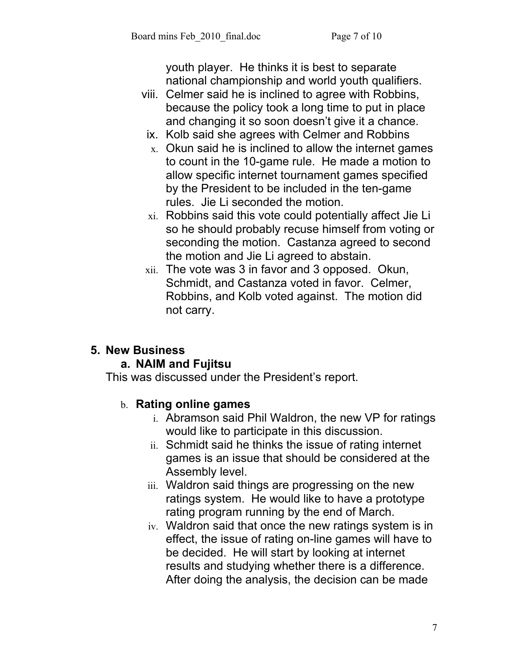youth player. He thinks it is best to separate national championship and world youth qualifiers.

- viii. Celmer said he is inclined to agree with Robbins, because the policy took a long time to put in place and changing it so soon doesn't give it a chance.
	- ix. Kolb said she agrees with Celmer and Robbins
	- $x<sub>x</sub>$ . Okun said he is inclined to allow the internet games to count in the 10-game rule. He made a motion to allow specific internet tournament games specified by the President to be included in the ten-game rules. Jie Li seconded the motion.
	- xi. Robbins said this vote could potentially affect Jie Li so he should probably recuse himself from voting or seconding the motion. Castanza agreed to second the motion and Jie Li agreed to abstain.
- xii. The vote was 3 in favor and 3 opposed. Okun, Schmidt, and Castanza voted in favor. Celmer, Robbins, and Kolb voted against. The motion did not carry.

# **5. New Business**

## **a. NAIM and Fujitsu**

This was discussed under the President's report.

## b. **Rating online games**

- i. Abramson said Phil Waldron, the new VP for ratings would like to participate in this discussion.
- ii. Schmidt said he thinks the issue of rating internet games is an issue that should be considered at the Assembly level.
- iii. Waldron said things are progressing on the new ratings system. He would like to have a prototype rating program running by the end of March.
- iv. Waldron said that once the new ratings system is in effect, the issue of rating on-line games will have to be decided. He will start by looking at internet results and studying whether there is a difference. After doing the analysis, the decision can be made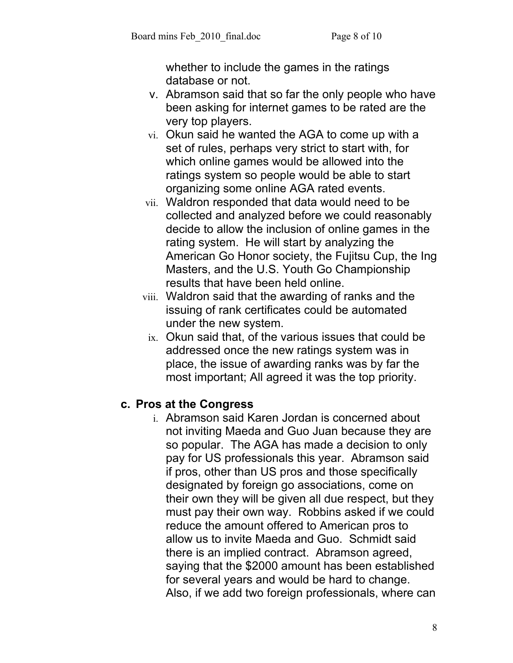whether to include the games in the ratings database or not.

- v. Abramson said that so far the only people who have been asking for internet games to be rated are the very top players.
- vi. Okun said he wanted the AGA to come up with a set of rules, perhaps very strict to start with, for which online games would be allowed into the ratings system so people would be able to start organizing some online AGA rated events.
- vii. Waldron responded that data would need to be collected and analyzed before we could reasonably decide to allow the inclusion of online games in the rating system. He will start by analyzing the American Go Honor society, the Fujitsu Cup, the Ing Masters, and the U.S. Youth Go Championship results that have been held online.
- viii. Waldron said that the awarding of ranks and the issuing of rank certificates could be automated under the new system.
	- ix. Okun said that, of the various issues that could be addressed once the new ratings system was in place, the issue of awarding ranks was by far the most important; All agreed it was the top priority.

## **c. Pros at the Congress**

i. Abramson said Karen Jordan is concerned about not inviting Maeda and Guo Juan because they are so popular. The AGA has made a decision to only pay for US professionals this year. Abramson said if pros, other than US pros and those specifically designated by foreign go associations, come on their own they will be given all due respect, but they must pay their own way. Robbins asked if we could reduce the amount offered to American pros to allow us to invite Maeda and Guo. Schmidt said there is an implied contract. Abramson agreed, saying that the \$2000 amount has been established for several years and would be hard to change. Also, if we add two foreign professionals, where can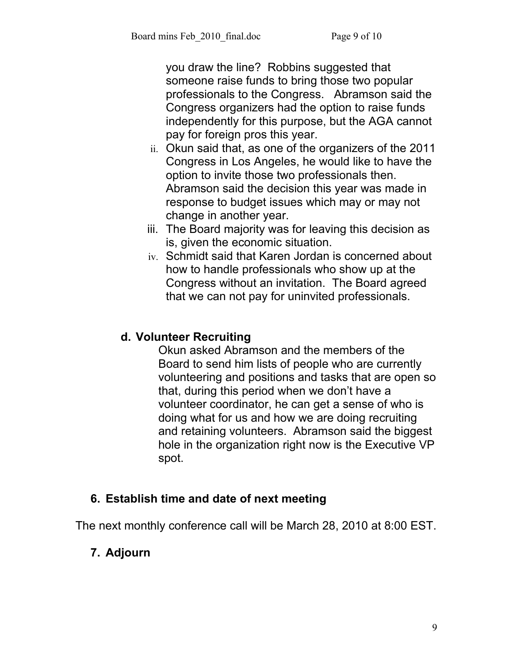you draw the line? Robbins suggested that someone raise funds to bring those two popular professionals to the Congress. Abramson said the Congress organizers had the option to raise funds independently for this purpose, but the AGA cannot pay for foreign pros this year.

- ii. Okun said that, as one of the organizers of the 2011 Congress in Los Angeles, he would like to have the option to invite those two professionals then. Abramson said the decision this year was made in response to budget issues which may or may not change in another year.
- iii. The Board majority was for leaving this decision as is, given the economic situation.
- iv. Schmidt said that Karen Jordan is concerned about how to handle professionals who show up at the Congress without an invitation. The Board agreed that we can not pay for uninvited professionals.

## **d. Volunteer Recruiting**

Okun asked Abramson and the members of the Board to send him lists of people who are currently volunteering and positions and tasks that are open so that, during this period when we don't have a volunteer coordinator, he can get a sense of who is doing what for us and how we are doing recruiting and retaining volunteers. Abramson said the biggest hole in the organization right now is the Executive VP spot.

## **6. Establish time and date of next meeting**

The next monthly conference call will be March 28, 2010 at 8:00 EST.

# **7. Adjourn**